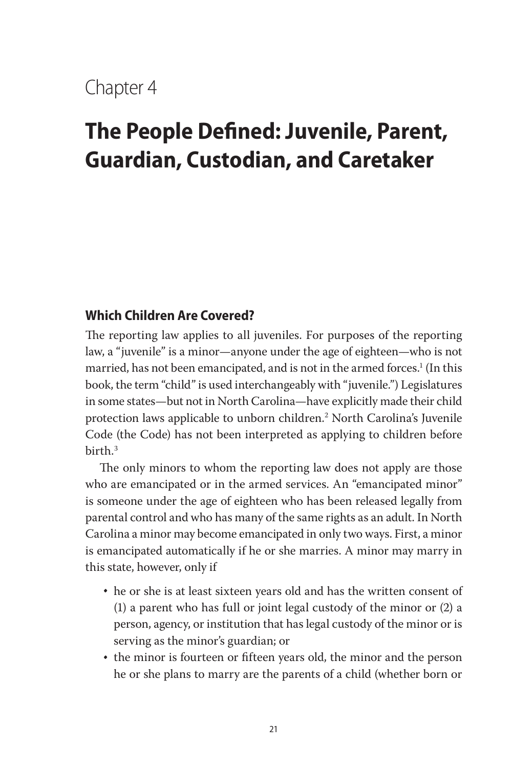## Chapter 4

# **The People Defined: Juvenile, Parent, Guardian, Custodian, and Caretaker**

#### **Which Children Are Covered?**

The reporting law applies to all juveniles. For purposes of the reporting law, a "juvenile" is a minor—anyone under the age of eighteen—who is not married, has not been emancipated, and is not in the armed forces. $^1$  (In this book, the term "child" is used interchangeably with "juvenile.") Legislatures in some states—but not in North Carolina—have explicitly made their child protection laws applicable to unborn children.2 North Carolina's Juvenile Code (the Code) has not been interpreted as applying to children before birth.3

The only minors to whom the reporting law does not apply are those who are emancipated or in the armed services. An "emancipated minor" is someone under the age of eighteen who has been released legally from parental control and who has many of the same rights as an adult. In North Carolina a minor may become emancipated in only two ways. First, a minor is emancipated automatically if he or she marries. A minor may marry in this state, however, only if

- he or she is at least sixteen years old and has the written consent of (1) a parent who has full or joint legal custody of the minor or (2) a person, agency, or institution that has legal custody of the minor or is serving as the minor's guardian; or
- the minor is fourteen or fifteen years old, the minor and the person he or she plans to marry are the parents of a child (whether born or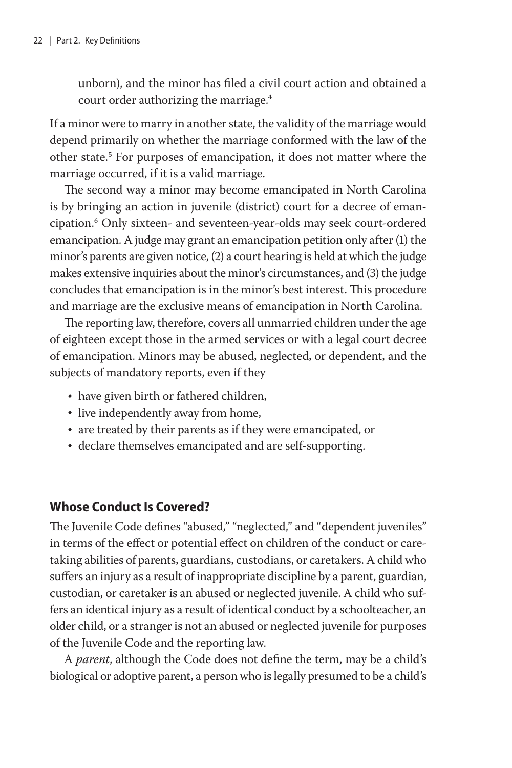unborn), and the minor has filed a civil court action and obtained a court order authorizing the marriage.<sup>4</sup>

If a minor were to marry in another state, the validity of the marriage would depend primarily on whether the marriage conformed with the law of the other state.<sup>5</sup> For purposes of emancipation, it does not matter where the marriage occurred, if it is a valid marriage.

The second way a minor may become emancipated in North Carolina is by bringing an action in juvenile (district) court for a decree of emancipation.6 Only sixteen- and seventeen-year-olds may seek court-ordered emancipation. A judge may grant an emancipation petition only after (1) the minor's parents are given notice, (2) a court hearing is held at which the judge makes extensive inquiries about the minor's circumstances, and (3) the judge concludes that emancipation is in the minor's best interest. This procedure and marriage are the exclusive means of emancipation in North Carolina.

The reporting law, therefore, covers all unmarried children under the age of eighteen except those in the armed services or with a legal court decree of emancipation. Minors may be abused, neglected, or dependent, and the subjects of mandatory reports, even if they

- have given birth or fathered children,
- live independently away from home,
- are treated by their parents as if they were emancipated, or
- declare themselves emancipated and are self-supporting.

### **Whose Conduct Is Covered?**

The Juvenile Code defines "abused," "neglected," and "dependent juveniles" in terms of the effect or potential effect on children of the conduct or caretaking abilities of parents, guardians, custodians, or caretakers. A child who suffers an injury as a result of inappropriate discipline by a parent, guardian, custodian, or caretaker is an abused or neglected juvenile. A child who suffers an identical injury as a result of identical conduct by a schoolteacher, an older child, or a stranger is not an abused or neglected juvenile for purposes of the Juvenile Code and the reporting law.

A *parent*, although the Code does not define the term, may be a child's biological or adoptive parent, a person who is legally presumed to be a child's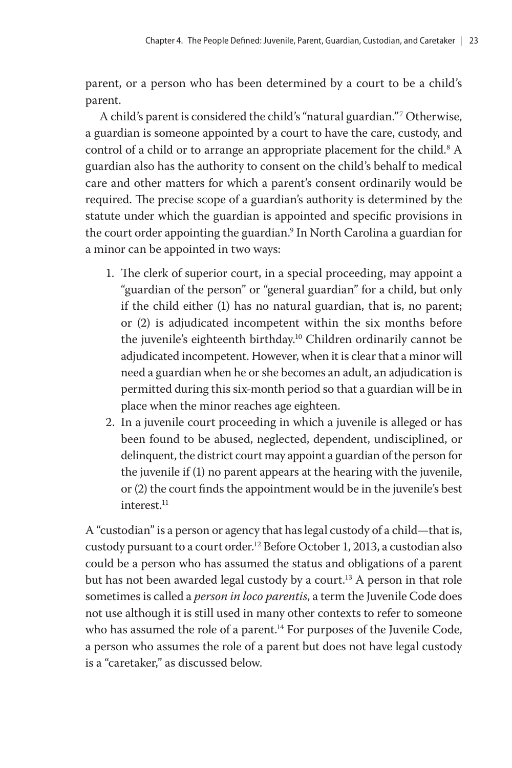parent, or a person who has been determined by a court to be a child's parent.

A child's parent is considered the child's "natural guardian."7 Otherwise, a guardian is someone appointed by a court to have the care, custody, and control of a child or to arrange an appropriate placement for the child. $^8$  A guardian also has the authority to consent on the child's behalf to medical care and other matters for which a parent's consent ordinarily would be required. The precise scope of a guardian's authority is determined by the statute under which the guardian is appointed and specific provisions in the court order appointing the guardian.<sup>9</sup> In North Carolina a guardian for a minor can be appointed in two ways:

- 1. The clerk of superior court, in a special proceeding, may appoint a "guardian of the person" or "general guardian" for a child, but only if the child either (1) has no natural guardian, that is, no parent; or (2) is adjudicated incompetent within the six months before the juvenile's eighteenth birthday.<sup>10</sup> Children ordinarily cannot be adjudicated incompetent. However, when it is clear that a minor will need a guardian when he or she becomes an adult, an adjudication is permitted during this six-month period so that a guardian will be in place when the minor reaches age eighteen.
- 2. In a juvenile court proceeding in which a juvenile is alleged or has been found to be abused, neglected, dependent, undisciplined, or delinquent, the district court may appoint a guardian of the person for the juvenile if (1) no parent appears at the hearing with the juvenile, or (2) the court finds the appointment would be in the juvenile's best interest.<sup>11</sup>

A "custodian" is a person or agency that has legal custody of a child—that is, custody pursuant to a court order.<sup>12</sup> Before October 1, 2013, a custodian also could be a person who has assumed the status and obligations of a parent but has not been awarded legal custody by a court.<sup>13</sup> A person in that role sometimes is called a *person in loco parentis*, a term the Juvenile Code does not use although it is still used in many other contexts to refer to someone who has assumed the role of a parent.<sup>14</sup> For purposes of the Juvenile Code, a person who assumes the role of a parent but does not have legal custody is a "caretaker," as discussed below.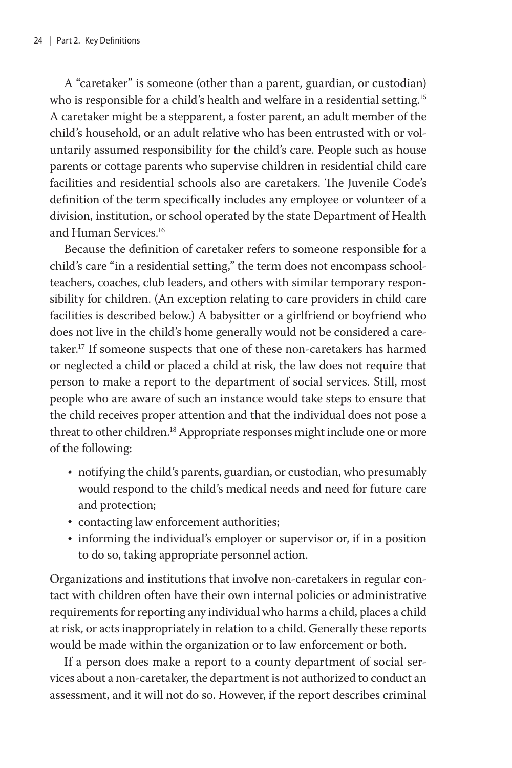A "caretaker" is someone (other than a parent, guardian, or custodian) who is responsible for a child's health and welfare in a residential setting.<sup>15</sup> A caretaker might be a stepparent, a foster parent, an adult member of the child's household, or an adult relative who has been entrusted with or voluntarily assumed responsibility for the child's care. People such as house parents or cottage parents who supervise children in residential child care facilities and residential schools also are caretakers. The Juvenile Code's definition of the term specifically includes any employee or volunteer of a division, institution, or school operated by the state Department of Health and Human Services.16

Because the definition of caretaker refers to someone responsible for a child's care "in a residential setting," the term does not encompass schoolteachers, coaches, club leaders, and others with similar temporary responsibility for children. (An exception relating to care providers in child care facilities is described below.) A babysitter or a girlfriend or boyfriend who does not live in the child's home generally would not be considered a caretaker.17 If someone suspects that one of these non-caretakers has harmed or neglected a child or placed a child at risk, the law does not require that person to make a report to the department of social services. Still, most people who are aware of such an instance would take steps to ensure that the child receives proper attention and that the individual does not pose a threat to other children.<sup>18</sup> Appropriate responses might include one or more of the following:

- notifying the child's parents, guardian, or custodian, who presumably would respond to the child's medical needs and need for future care and protection;
- contacting law enforcement authorities;
- informing the individual's employer or supervisor or, if in a position to do so, taking appropriate personnel action.

Organizations and institutions that involve non-caretakers in regular contact with children often have their own internal policies or administrative requirements for reporting any individual who harms a child, places a child at risk, or acts inappropriately in relation to a child. Generally these reports would be made within the organization or to law enforcement or both.

If a person does make a report to a county department of social services about a non-caretaker, the department is not authorized to conduct an assessment, and it will not do so. However, if the report describes criminal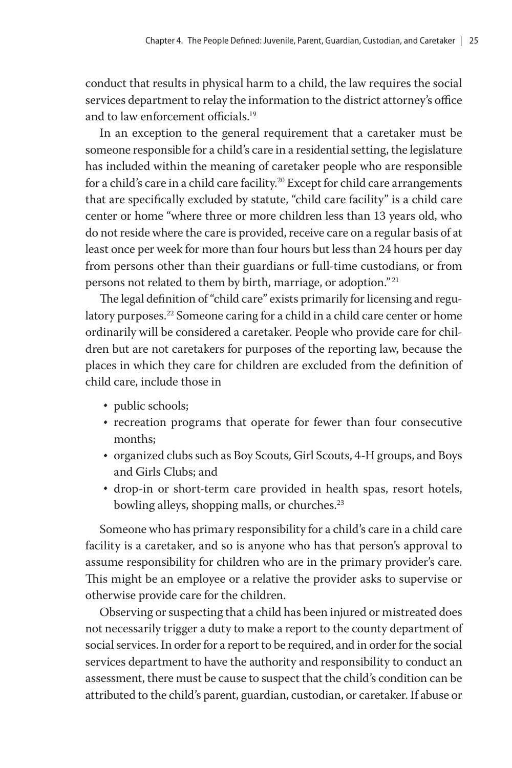conduct that results in physical harm to a child, the law requires the social services department to relay the information to the district attorney's office and to law enforcement officials.19

In an exception to the general requirement that a caretaker must be someone responsible for a child's care in a residential setting, the legislature has included within the meaning of caretaker people who are responsible for a child's care in a child care facility.<sup>20</sup> Except for child care arrangements that are specifically excluded by statute, "child care facility" is a child care center or home "where three or more children less than 13 years old, who do not reside where the care is provided, receive care on a regular basis of at least once per week for more than four hours but less than 24 hours per day from persons other than their guardians or full-time custodians, or from persons not related to them by birth, marriage, or adoption."<sup>21</sup>

The legal definition of "child care" exists primarily for licensing and regulatory purposes.<sup>22</sup> Someone caring for a child in a child care center or home ordinarily will be considered a caretaker. People who provide care for children but are not caretakers for purposes of the reporting law, because the places in which they care for children are excluded from the definition of child care, include those in

- public schools;
- recreation programs that operate for fewer than four consecutive months;
- organized clubs such as Boy Scouts, Girl Scouts, 4-H groups, and Boys and Girls Clubs; and
- drop-in or short-term care provided in health spas, resort hotels, bowling alleys, shopping malls, or churches.<sup>23</sup>

Someone who has primary responsibility for a child's care in a child care facility is a caretaker, and so is anyone who has that person's approval to assume responsibility for children who are in the primary provider's care. This might be an employee or a relative the provider asks to supervise or otherwise provide care for the children.

Observing or suspecting that a child has been injured or mistreated does not necessarily trigger a duty to make a report to the county department of social services. In order for a report to be required, and in order for the social services department to have the authority and responsibility to conduct an assessment, there must be cause to suspect that the child's condition can be attributed to the child's parent, guardian, custodian, or caretaker. If abuse or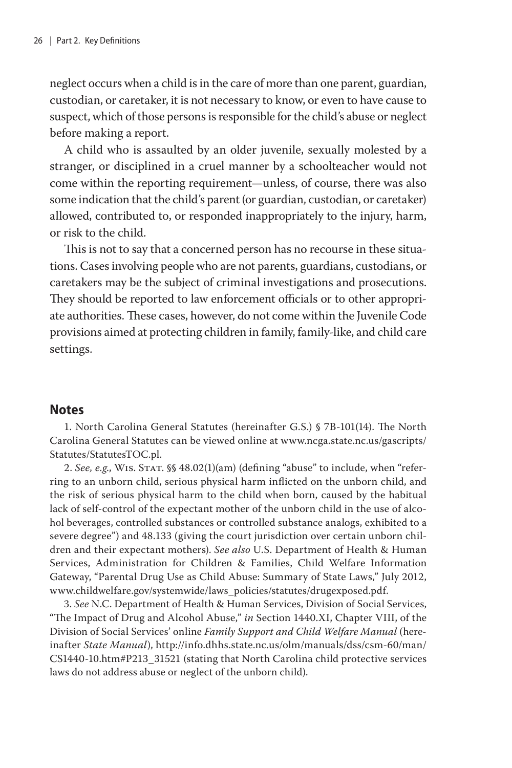neglect occurs when a child is in the care of more than one parent, guardian, custodian, or caretaker, it is not necessary to know, or even to have cause to suspect, which of those persons is responsible for the child's abuse or neglect before making a report.

A child who is assaulted by an older juvenile, sexually molested by a stranger, or disciplined in a cruel manner by a schoolteacher would not come within the reporting requirement—unless, of course, there was also some indication that the child's parent (or guardian, custodian, or caretaker) allowed, contributed to, or responded inappropriately to the injury, harm, or risk to the child.

This is not to say that a concerned person has no recourse in these situations. Cases involving people who are not parents, guardians, custodians, or caretakers may be the subject of criminal investigations and prosecutions. They should be reported to law enforcement officials or to other appropriate authorities. These cases, however, do not come within the Juvenile Code provisions aimed at protecting children in family, family-like, and child care settings.

#### **Notes**

1. North Carolina General Statutes (hereinafter G.S.) § 7B-101(14). The North Carolina General Statutes can be viewed online at www.ncga.state.nc.us/gascripts/ Statutes/StatutesTOC.pl.

2. *See, e.g*., Wis. Stat. §§ 48.02(1)(am) (defining "abuse" to include, when "referring to an unborn child, serious physical harm inflicted on the unborn child, and the risk of serious physical harm to the child when born, caused by the habitual lack of self-control of the expectant mother of the unborn child in the use of alcohol beverages, controlled substances or controlled substance analogs, exhibited to a severe degree") and 48.133 (giving the court jurisdiction over certain unborn children and their expectant mothers). *See also* U.S. Department of Health & Human Services, Administration for Children & Families, Child Welfare Information Gateway, "Parental Drug Use as Child Abuse: Summary of State Laws," July 2012, www.childwelfare.gov/systemwide/laws\_policies/statutes/drugexposed.pdf.

3. *See* N.C. Department of Health & Human Services, Division of Social Services, "The Impact of Drug and Alcohol Abuse," *in* Section 1440.XI, Chapter VIII, of the Division of Social Services' online *Family Support and Child Welfare Manual* (hereinafter *State Manual*), http://info.dhhs.state.nc.us/olm/manuals/dss/csm-60/man/ CS1440-10.htm#P213\_31521 (stating that North Carolina child protective services laws do not address abuse or neglect of the unborn child).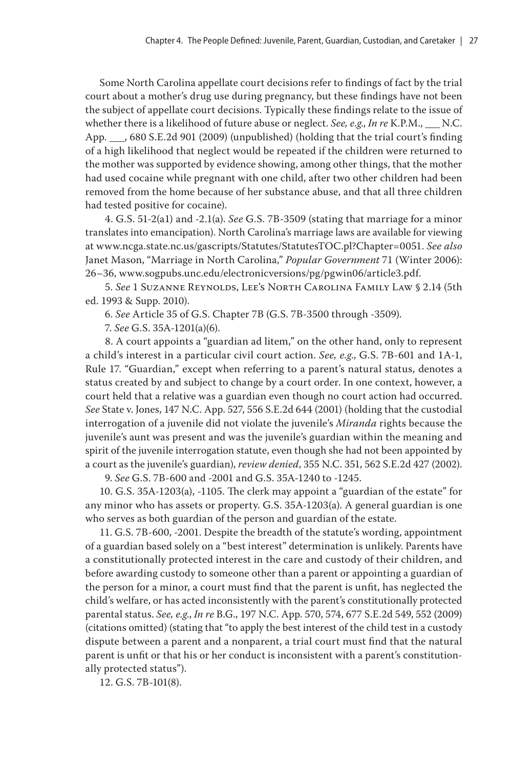Some North Carolina appellate court decisions refer to findings of fact by the trial court about a mother's drug use during pregnancy, but these findings have not been the subject of appellate court decisions. Typically these findings relate to the issue of whether there is a likelihood of future abuse or neglect. *See, e.g., In re* K.P.M., N.C. App. \_\_\_, 680 S.E.2d 901 (2009) (unpublished) (holding that the trial court's finding of a high likelihood that neglect would be repeated if the children were returned to the mother was supported by evidence showing, among other things, that the mother had used cocaine while pregnant with one child, after two other children had been removed from the home because of her substance abuse, and that all three children had tested positive for cocaine).

4. G.S. 51-2(a1) and -2.1(a). *See* G.S. 7B-3509 (stating that marriage for a minor translates into emancipation). North Carolina's marriage laws are available for viewing at www.ncga.state.nc.us/gascripts/Statutes/StatutesTOC.pl?Chapter=0051. *See also* Janet Mason, "Marriage in North Carolina," *Popular Government* 71 (Winter 2006): 26–36, www.sogpubs.unc.edu/electronicversions/pg/pgwin06/article3.pdf.

5. *See* 1 Suzanne Reynolds, Lee's North Carolina Family Law § 2.14 (5th ed. 1993 & Supp. 2010).

6. *See* Article 35 of G.S. Chapter 7B (G.S. 7B-3500 through -3509).

7. *See* G.S. 35A-1201(a)(6).

8. A court appoints a "guardian ad litem," on the other hand, only to represent a child's interest in a particular civil court action. *See, e.g*., G.S. 7B-601 and 1A-1, Rule 17. "Guardian," except when referring to a parent's natural status, denotes a status created by and subject to change by a court order. In one context, however, a court held that a relative was a guardian even though no court action had occurred. *See* State v. Jones, 147 N.C. App. 527, 556 S.E.2d 644 (2001) (holding that the custodial interrogation of a juvenile did not violate the juvenile's *Miranda* rights because the juvenile's aunt was present and was the juvenile's guardian within the meaning and spirit of the juvenile interrogation statute, even though she had not been appointed by a court as the juvenile's guardian), *review denied*, 355 N.C. 351, 562 S.E.2d 427 (2002).

9. *See* G.S. 7B-600 and -2001 and G.S. 35A-1240 to -1245.

10. G.S. 35A-1203(a), -1105. The clerk may appoint a "guardian of the estate" for any minor who has assets or property. G.S. 35A-1203(a). A general guardian is one who serves as both guardian of the person and guardian of the estate.

11. G.S. 7B-600, -2001. Despite the breadth of the statute's wording, appointment of a guardian based solely on a "best interest" determination is unlikely. Parents have a constitutionally protected interest in the care and custody of their children, and before awarding custody to someone other than a parent or appointing a guardian of the person for a minor, a court must find that the parent is unfit, has neglected the child's welfare, or has acted inconsistently with the parent's constitutionally protected parental status. *See, e.g*., *In re* B.G., 197 N.C. App. 570, 574, 677 S.E.2d 549, 552 (2009) (citations omitted) (stating that "to apply the best interest of the child test in a custody dispute between a parent and a nonparent, a trial court must find that the natural parent is unfit or that his or her conduct is inconsistent with a parent's constitutionally protected status").

12. G.S. 7B-101(8).